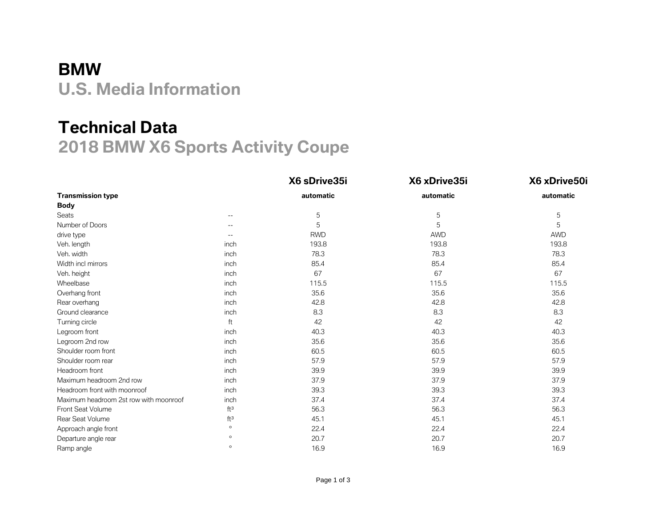## **BMW U.S. Media Information**

## **Technical Data 2018 BMW X6 Sports Activity Coupe**

|                                        |                 | X6 sDrive35i | X6 xDrive35i | X6 xDrive50i |
|----------------------------------------|-----------------|--------------|--------------|--------------|
| <b>Transmission type</b>               |                 | automatic    | automatic    | automatic    |
| <b>Body</b>                            |                 |              |              |              |
| Seats                                  | $- -$           | 5            | 5            | 5            |
| Number of Doors                        | $- -$           | 5            | 5            | 5            |
| drive type                             | $ -$            | <b>RWD</b>   | <b>AWD</b>   | <b>AWD</b>   |
| Veh. length                            | inch            | 193.8        | 193.8        | 193.8        |
| Veh. width                             | inch            | 78.3         | 78.3         | 78.3         |
| Width incl mirrors                     | inch            | 85.4         | 85.4         | 85.4         |
| Veh. height                            | inch            | 67           | 67           | 67           |
| Wheelbase                              | inch            | 115.5        | 115.5        | 115.5        |
| Overhang front                         | inch            | 35.6         | 35.6         | 35.6         |
| Rear overhang                          | inch            | 42.8         | 42.8         | 42.8         |
| Ground clearance                       | inch            | 8.3          | 8.3          | 8.3          |
| Turning circle                         | ft              | 42           | 42           | 42           |
| Legroom front                          | inch            | 40.3         | 40.3         | 40.3         |
| Legroom 2nd row                        | inch            | 35.6         | 35.6         | 35.6         |
| Shoulder room front                    | inch            | 60.5         | 60.5         | 60.5         |
| Shoulder room rear                     | inch            | 57.9         | 57.9         | 57.9         |
| Headroom front                         | inch            | 39.9         | 39.9         | 39.9         |
| Maximum headroom 2nd row               | inch            | 37.9         | 37.9         | 37.9         |
| Headroom front with moonroof           | inch            | 39.3         | 39.3         | 39.3         |
| Maximum headroom 2st row with moonroof | inch            | 37.4         | 37.4         | 37.4         |
| Front Seat Volume                      | ft <sup>3</sup> | 56.3         | 56.3         | 56.3         |
| Rear Seat Volume                       | ft <sup>3</sup> | 45.1         | 45.1         | 45.1         |
| Approach angle front                   | $\circ$         | 22.4         | 22.4         | 22.4         |
| Departure angle rear                   | $\circ$         | 20.7         | 20.7         | 20.7         |
| Ramp angle                             | $\circ$         | 16.9         | 16.9         | 16.9         |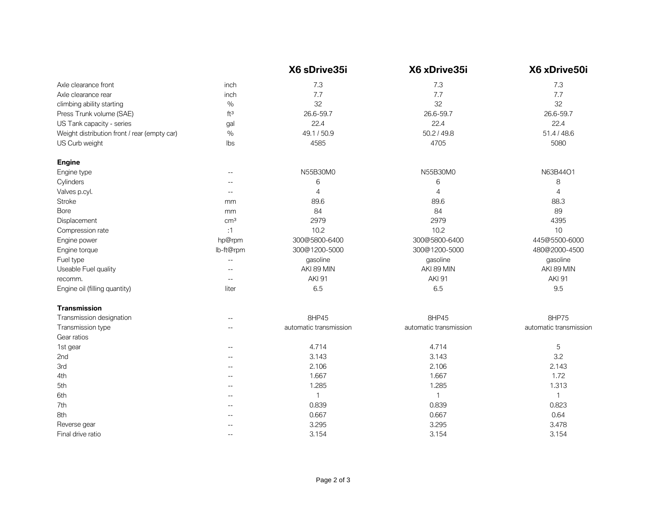|                                              |                          | X6 sDrive35i           | X6 xDrive35i           | X6 xDrive50i           |
|----------------------------------------------|--------------------------|------------------------|------------------------|------------------------|
| Axle clearance front                         | inch                     | 7.3                    | 7.3                    | 7.3                    |
| Axle clearance rear                          | inch                     | 7.7                    | 7.7                    | 7.7                    |
| climbing ability starting                    | $\frac{0}{0}$            | 32                     | 32                     | 32                     |
| Press Trunk volume (SAE)                     | ft <sup>3</sup>          | 26.6-59.7              | 26.6-59.7              | 26.6-59.7              |
| US Tank capacity - series                    | gal                      | 22.4                   | 22.4                   | 22.4                   |
| Weight distribution front / rear (empty car) | $\frac{0}{0}$            | 49.1 / 50.9            | 50.2 / 49.8            | 51.4 / 48.6            |
| US Curb weight                               | Ibs                      | 4585                   | 4705                   | 5080                   |
| <b>Engine</b>                                |                          |                        |                        |                        |
| Engine type                                  | $- -$                    | N55B30M0               | N55B30M0               | N63B44O1               |
| Cylinders                                    | $-$                      | 6                      | 6                      | 8                      |
| Valves p.cyl.                                | $-$                      | $\overline{4}$         | $\overline{4}$         | $\overline{4}$         |
| Stroke                                       | mm                       | 89.6                   | 89.6                   | 88.3                   |
| Bore                                         | mm                       | 84                     | 84                     | 89                     |
| Displacement                                 | cm <sup>3</sup>          | 2979                   | 2979                   | 4395                   |
| Compression rate                             | :1                       | 10.2                   | 10.2                   | 10                     |
| Engine power                                 | hp@rpm                   | 300@5800-6400          | 300@5800-6400          | 445@5500-6000          |
| Engine torque                                | lb-ft@rpm                | 300@1200-5000          | 300@1200-5000          | 480@2000-4500          |
| Fuel type                                    | $\overline{\phantom{a}}$ | gasoline               | gasoline               | gasoline               |
| Useable Fuel quality                         |                          | AKI 89 MIN             | AKI 89 MIN             | AKI 89 MIN             |
| recomm.                                      |                          | <b>AKI 91</b>          | <b>AKI 91</b>          | <b>AKI 91</b>          |
| Engine oil (filling quantity)                | liter                    | 6.5                    | 6.5                    | 9.5                    |
| <b>Transmission</b>                          |                          |                        |                        |                        |
| Transmission designation                     | $-$                      | 8HP45                  | 8HP45                  | 8HP75                  |
| Transmission type                            | $-$                      | automatic transmission | automatic transmission | automatic transmission |
| Gear ratios                                  |                          |                        |                        |                        |
| 1st gear                                     | $\overline{\phantom{a}}$ | 4.714                  | 4.714                  | $\mathbf 5$            |
| 2nd                                          | $- -$                    | 3.143                  | 3.143                  | 3.2                    |
| 3rd                                          | $-$                      | 2.106                  | 2.106                  | 2.143                  |
| 4th                                          | $-$                      | 1.667                  | 1.667                  | 1.72                   |
| 5th                                          | $-$                      | 1.285                  | 1.285                  | 1.313                  |
| 6th                                          | $-$                      | 1                      | $\mathbf{1}$           | $\mathbf{1}$           |
| 7th                                          | $-$                      | 0.839                  | 0.839                  | 0.823                  |
| 8th                                          | $-$                      | 0.667                  | 0.667                  | 0.64                   |
| Reverse gear                                 |                          | 3.295                  | 3.295                  | 3.478                  |
| Final drive ratio                            | $\qquad \qquad -$        | 3.154                  | 3.154                  | 3.154                  |